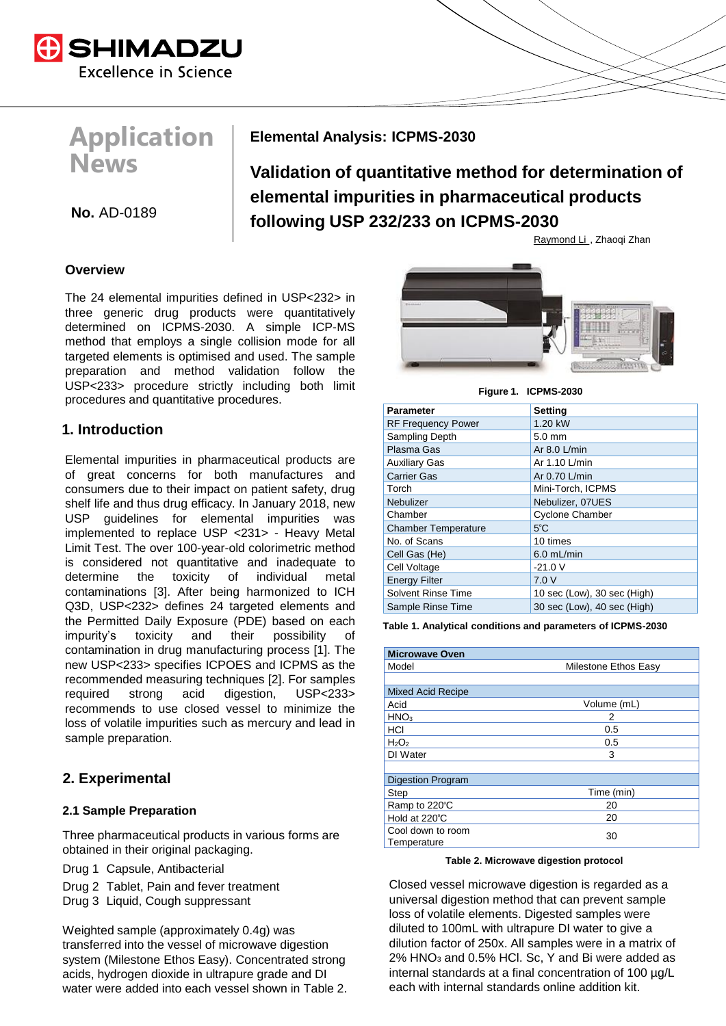

# **Application News**

**Elemental Analysis: ICPMS-2030**

**Validation of quantitative method for determination of elemental impurities in pharmaceutical products ho.** AD-0189 **html following USP 232/233 on ICPMS-2030** 

Raymond Li., Zhaoqi Zhan

### **Overview**

The 24 elemental impurities defined in USP<232> in three generic drug products were quantitatively determined on ICPMS-2030. A simple ICP-MS method that employs a single collision mode for all targeted elements is optimised and used. The sample preparation and method validation follow the USP<233> procedure strictly including both limit procedures and quantitative procedures.

### **1. Introduction**

Elemental impurities in pharmaceutical products are of great concerns for both manufactures and consumers due to their impact on patient safety, drug shelf life and thus drug efficacy. In January 2018, new USP guidelines for elemental impurities was implemented to replace USP <231> - Heavy Metal Limit Test. The over 100-year-old colorimetric method is considered not quantitative and inadequate to determine the toxicity of individual metal contaminations [3]. After being harmonized to ICH Q3D, USP<232> defines 24 targeted elements and the Permitted Daily Exposure (PDE) based on each impurity's toxicity and their possibility of contamination in drug manufacturing process [1]. The new USP<233> specifies ICPOES and ICPMS as the recommended measuring techniques [2]. For samples required strong acid digestion, USP<233> recommends to use closed vessel to minimize the loss of volatile impurities such as mercury and lead in sample preparation.

## **2. Experimental**

### **2.1 Sample Preparation**

Three pharmaceutical products in various forms are obtained in their original packaging.

Drug 1 Capsule, Antibacterial

- Drug 2 Tablet, Pain and fever treatment
- Drug 3 Liquid, Cough suppressant

Weighted sample (approximately 0.4g) was transferred into the vessel of microwave digestion system (Milestone Ethos Easy). Concentrated strong acids, hydrogen dioxide in ultrapure grade and DI water were added into each vessel shown in Table 2.



**Figure 1. ICPMS-2030**

| <b>Parameter</b>           | <b>Setting</b>              |
|----------------------------|-----------------------------|
| <b>RF Frequency Power</b>  | 1.20 kW                     |
| Sampling Depth             | $5.0 \text{ mm}$            |
| Plasma Gas                 | Ar $8.0$ L/min              |
| <b>Auxiliary Gas</b>       | Ar 1.10 L/min               |
| <b>Carrier Gas</b>         | Ar 0.70 L/min               |
| Torch                      | Mini-Torch, ICPMS           |
| Nebulizer                  | Nebulizer, 07UES            |
| Chamber                    | <b>Cyclone Chamber</b>      |
| <b>Chamber Temperature</b> | $5^{\circ}$ C               |
| No. of Scans               | 10 times                    |
| Cell Gas (He)              | $6.0$ mL/min                |
| Cell Voltage               | $-21.0$ V                   |
| <b>Energy Filter</b>       | 7.0V                        |
| <b>Solvent Rinse Time</b>  | 10 sec (Low), 30 sec (High) |
| Sample Rinse Time          | 30 sec (Low), 40 sec (High) |

**Table 1. Analytical conditions and parameters of ICPMS-2030**

| <b>Microwave Oven</b>         |             |  |  |  |
|-------------------------------|-------------|--|--|--|
| Model<br>Milestone Ethos Easy |             |  |  |  |
|                               |             |  |  |  |
| <b>Mixed Acid Recipe</b>      |             |  |  |  |
| Acid                          | Volume (mL) |  |  |  |
| HNO <sub>3</sub>              | 2           |  |  |  |
| HCI                           | 0.5         |  |  |  |
| $H_2O_2$                      | 0.5         |  |  |  |
| DI Water                      | 3           |  |  |  |
|                               |             |  |  |  |
| <b>Digestion Program</b>      |             |  |  |  |
| Step                          | Time (min)  |  |  |  |
| Ramp to 220°C                 | 20          |  |  |  |
| Hold at 220°C                 | 20          |  |  |  |
| Cool down to room             | 30          |  |  |  |
| Temperature                   |             |  |  |  |

#### **Table 2. Microwave digestion protocol**

Closed vessel microwave digestion is regarded as a universal digestion method that can prevent sample loss of volatile elements. Digested samples were diluted to 100mL with ultrapure DI water to give a dilution factor of 250x. All samples were in a matrix of 2% HNO<sup>3</sup> and 0.5% HCl. Sc, Y and Bi were added as internal standards at a final concentration of 100 µg/L each with internal standards online addition kit.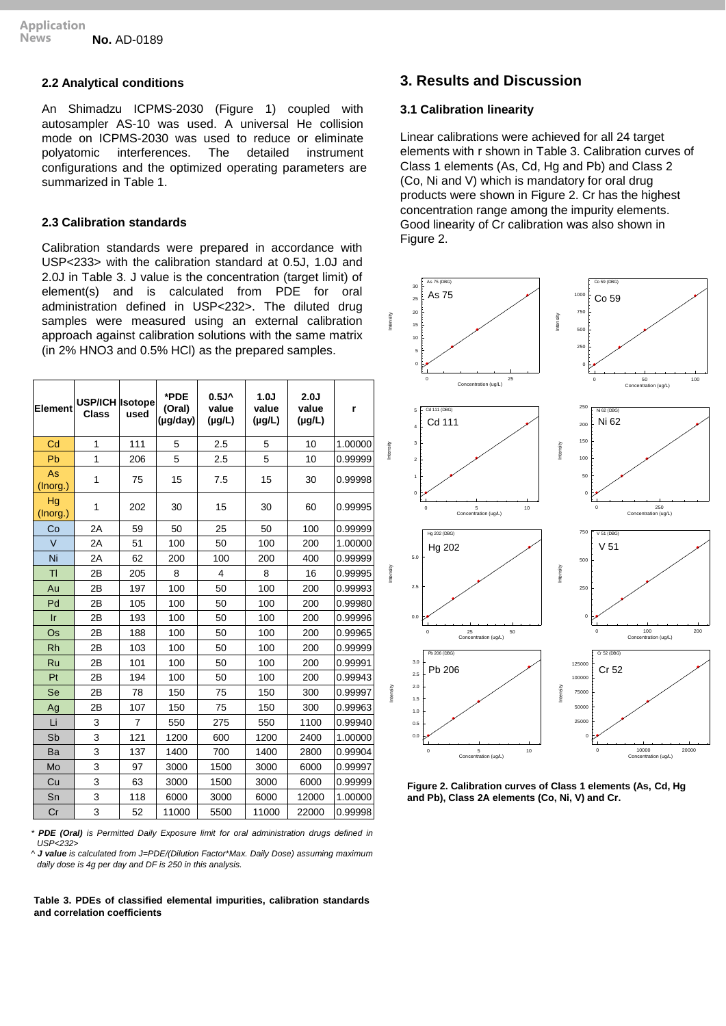#### **2.2 Analytical conditions**

An Shimadzu ICPMS-2030 (Figure 1) coupled with autosampler AS-10 was used. A universal He collision mode on ICPMS-2030 was used to reduce or eliminate polyatomic interferences. The detailed instrument configurations and the optimized operating parameters are summarized in Table 1.

#### **2.3 Calibration standards**

Calibration standards were prepared in accordance with USP<233> with the calibration standard at 0.5J, 1.0J and 2.0J in Table 3. J value is the concentration (target limit) of element(s) and is calculated from PDE for oral administration defined in USP<232>. The diluted drug samples were measured using an external calibration approach against calibration solutions with the same matrix (in 2% HNO3 and 0.5% HCl) as the prepared samples.

| <b>Element</b> | USP/ICH   Isotope<br><b>Class</b> | used | *PDE<br>(Oral)<br>(µg/day) | 0.5J <sub>A</sub><br>value<br>$(\mu g/L)$ | 1.0J<br>value<br>$(\mu g/L)$ | 2.0J<br>value<br>$(\mu g/L)$ | r       |
|----------------|-----------------------------------|------|----------------------------|-------------------------------------------|------------------------------|------------------------------|---------|
| Cd             | 1                                 | 111  | 5                          | 2.5                                       | 5                            | 10                           | 1.00000 |
| Pb             | 1                                 | 206  | 5                          | 2.5                                       | 5                            | 10                           | 0.99999 |
| As<br>(Inorg.) | 1                                 | 75   | 15                         | 7.5                                       | 15                           | 30                           | 0.99998 |
| Hg<br>(Inorg.) | 1                                 | 202  | 30                         | 15                                        | 30                           | 60                           | 0.99995 |
| Co             | 2A                                | 59   | 50                         | 25                                        | 50                           | 100                          | 0.99999 |
| $\vee$         | 2A                                | 51   | 100                        | 50                                        | 100                          | 200                          | 1.00000 |
| Ni             | 2A                                | 62   | 200                        | 100                                       | 200                          | 400                          | 0.99999 |
| TI             | 2B                                | 205  | 8                          | 4                                         | 8                            | 16                           | 0.99995 |
| Au             | 2B                                | 197  | 100                        | 50                                        | 100                          | 200                          | 0.99993 |
| Pd             | 2B                                | 105  | 100                        | 50                                        | 100                          | 200                          | 0.99980 |
| $\mathsf{I}$ r | 2B                                | 193  | 100                        | 50                                        | 100                          | 200                          | 0.99996 |
| Os             | 2B                                | 188  | 100                        | 50                                        | 100                          | 200                          | 0.99965 |
| <b>Rh</b>      | 2B                                | 103  | 100                        | 50                                        | 100                          | 200                          | 0.99999 |
| Ru             | 2B                                | 101  | 100                        | 50                                        | 100                          | 200                          | 0.99991 |
| Pt             | 2B                                | 194  | 100                        | 50                                        | 100                          | 200                          | 0.99943 |
| Se             | 2B                                | 78   | 150                        | 75                                        | 150                          | 300                          | 0.99997 |
| Ag             | 2B                                | 107  | 150                        | 75                                        | 150                          | 300                          | 0.99963 |
| Li             | 3                                 | 7    | 550                        | 275                                       | 550                          | 1100                         | 0.99940 |
| Sb             | 3                                 | 121  | 1200                       | 600                                       | 1200                         | 2400                         | 1.00000 |
| Ba             | 3                                 | 137  | 1400                       | 700                                       | 1400                         | 2800                         | 0.99904 |
| Mo             | 3                                 | 97   | 3000                       | 1500                                      | 3000                         | 6000                         | 0.99997 |
| Cu             | 3                                 | 63   | 3000                       | 1500                                      | 3000                         | 6000                         | 0.99999 |
| Sn             | 3                                 | 118  | 6000                       | 3000                                      | 6000                         | 12000                        | 1.00000 |
| Cr             | 3                                 | 52   | 11000                      | 5500                                      | 11000                        | 22000                        | 0.99998 |

*\* PDE (Oral) is Permitted Daily Exposure limit for oral administration drugs defined in USP<232>*

*^ J value is calculated from J=PDE/(Dilution Factor\*Max. Daily Dose) assuming maximum daily dose is 4g per day and DF is 250 in this analysis.*

#### **Table 3. PDEs of classified elemental impurities, calibration standards and correlation coefficients**

### **3. Results and Discussion**

#### **3.1 Calibration linearity**

Linear calibrations were achieved for all 24 target elements with r shown in Table 3. Calibration curves of Class 1 elements (As, Cd, Hg and Pb) and Class 2 (Co, Ni and V) which is mandatory for oral drug products were shown in Figure 2. Cr has the highest concentration range among the impurity elements. Good linearity of Cr calibration was also shown in Figure 2.



**Figure 2. Calibration curves of Class 1 elements (As, Cd, Hg and Pb), Class 2A elements (Co, Ni, V) and Cr.**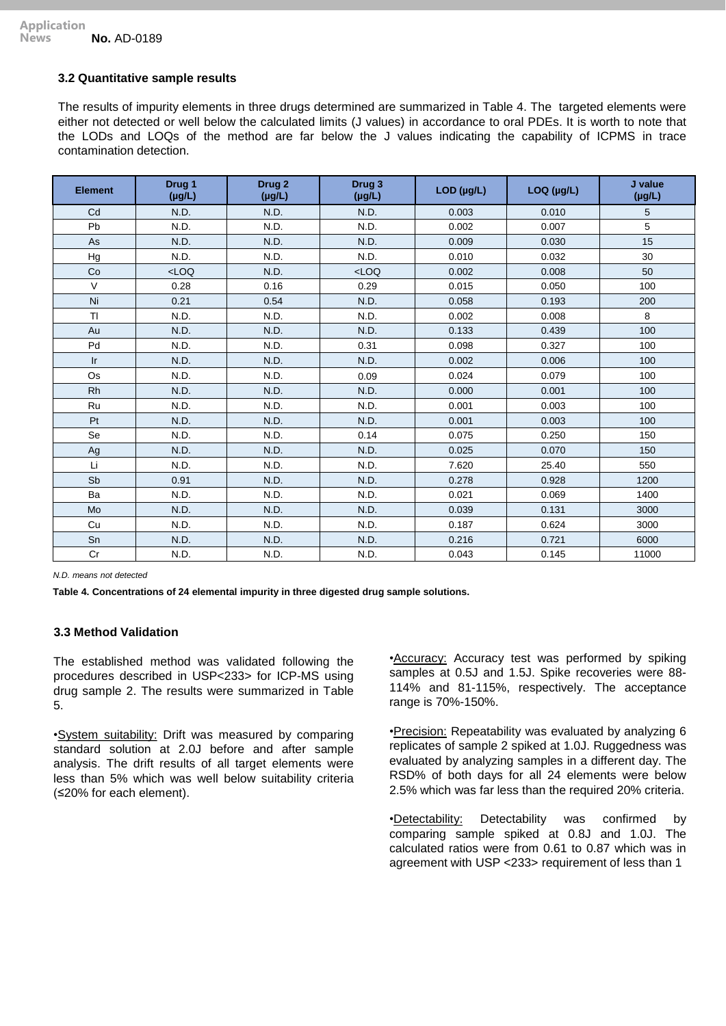#### **3.2 Quantitative sample results**

The results of impurity elements in three drugs determined are summarized in Table 4. The targeted elements were either not detected or well below the calculated limits (J values) in accordance to oral PDEs. It is worth to note that the LODs and LOQs of the method are far below the J values indicating the capability of ICPMS in trace contamination detection.

| <b>Element</b> | Drug <sub>1</sub><br>$(\mu g/L)$ | Drug <sub>2</sub><br>$(\mu g/L)$ | Drug 3<br>$(\mu g/L)$ | LOD (µg/L) | LOQ (µg/L) | J value<br>$(\mu g/L)$ |
|----------------|----------------------------------|----------------------------------|-----------------------|------------|------------|------------------------|
| Cd             | N.D.                             | N.D.                             | N.D.                  | 0.003      | 0.010      | 5                      |
| Pb             | N.D.                             | N.D.                             | N.D.                  | 0.002      | 0.007      | 5                      |
| As             | N.D.                             | N.D.                             | N.D.                  | 0.009      | 0.030      | 15                     |
| Hg             | N.D.                             | N.D.                             | N.D.                  | 0.010      | 0.032      | 30                     |
| Co             | LOO                              | N.D.                             | $<$ LOQ               | 0.002      | 0.008      | 50                     |
| $\vee$         | 0.28                             | 0.16                             | 0.29                  | 0.015      | 0.050      | 100                    |
| Ni             | 0.21                             | 0.54                             | N.D.                  | 0.058      | 0.193      | 200                    |
| <b>TI</b>      | N.D.                             | N.D.                             | N.D.                  | 0.002      | 0.008      | 8                      |
| Au             | N.D.                             | N.D.                             | N.D.                  | 0.133      | 0.439      | 100                    |
| Pd             | N.D.                             | N.D.                             | 0.31                  | 0.098      | 0.327      | 100                    |
| Ir             | N.D.                             | N.D.                             | N.D.                  | 0.002      | 0.006      | 100                    |
| Os             | N.D.                             | N.D.                             | 0.09                  | 0.024      | 0.079      | 100                    |
| <b>Rh</b>      | N.D.                             | N.D.                             | N.D.                  | 0.000      | 0.001      | 100                    |
| Ru             | N.D.                             | N.D.                             | N.D.                  | 0.001      | 0.003      | 100                    |
| Pt             | N.D.                             | N.D.                             | N.D.                  | 0.001      | 0.003      | 100                    |
| Se             | N.D.                             | N.D.                             | 0.14                  | 0.075      | 0.250      | 150                    |
| Ag             | N.D.                             | N.D.                             | N.D.                  | 0.025      | 0.070      | 150                    |
| Li             | N.D.                             | N.D.                             | N.D.                  | 7.620      | 25.40      | 550                    |
| Sb             | 0.91                             | N.D.                             | N.D.                  | 0.278      | 0.928      | 1200                   |
| Ba             | N.D.                             | N.D.                             | N.D.                  | 0.021      | 0.069      | 1400                   |
| Mo             | N.D.                             | N.D.                             | N.D.                  | 0.039      | 0.131      | 3000                   |
| Cu             | N.D.                             | N.D.                             | N.D.                  | 0.187      | 0.624      | 3000                   |
| Sn             | N.D.                             | N.D.                             | N.D.                  | 0.216      | 0.721      | 6000                   |
| Cr             | N.D.                             | N.D.                             | N.D.                  | 0.043      | 0.145      | 11000                  |

*N.D. means not detected*

**Table 4. Concentrations of 24 elemental impurity in three digested drug sample solutions.** 

#### **3.3 Method Validation**

The established method was validated following the procedures described in USP<233> for ICP-MS using drug sample 2. The results were summarized in Table 5.

•System suitability: Drift was measured by comparing standard solution at 2.0J before and after sample analysis. The drift results of all target elements were less than 5% which was well below suitability criteria (≤20% for each element).

•Accuracy: Accuracy test was performed by spiking samples at 0.5J and 1.5J. Spike recoveries were 88- 114% and 81-115%, respectively. The acceptance range is 70%-150%.

•Precision: Repeatability was evaluated by analyzing 6 replicates of sample 2 spiked at 1.0J. Ruggedness was evaluated by analyzing samples in a different day. The RSD% of both days for all 24 elements were below 2.5% which was far less than the required 20% criteria.

•Detectability: Detectability was confirmed by comparing sample spiked at 0.8J and 1.0J. The calculated ratios were from 0.61 to 0.87 which was in agreement with USP <233> requirement of less than 1